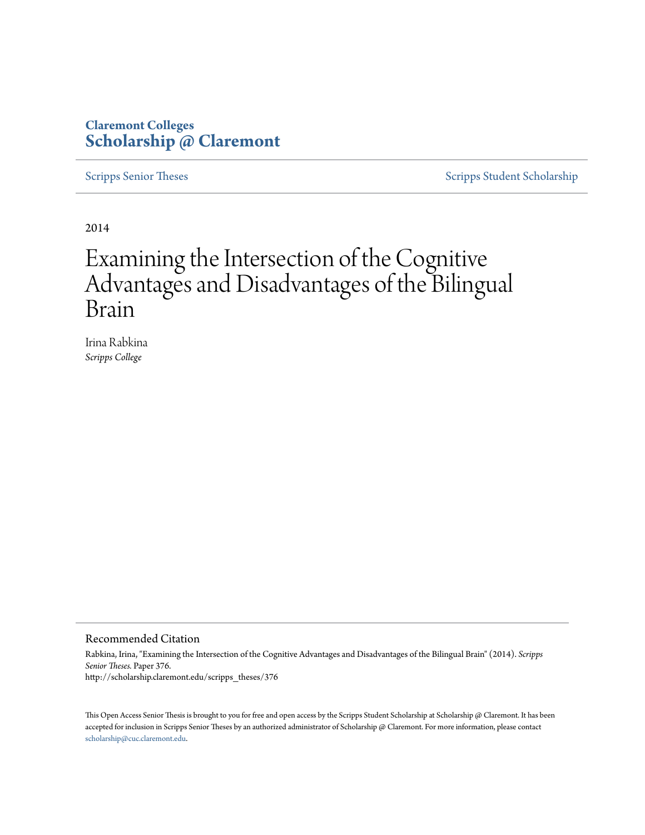# **Claremont Colleges [Scholarship @ Claremont](http://scholarship.claremont.edu)**

[Scripps Senior Theses](http://scholarship.claremont.edu/scripps_theses) [Scripps Student Scholarship](http://scholarship.claremont.edu/scripps_student)

2014

# Examining the Intersection of the Cognitive Advantages and Disadvantages of the Bilingual Brain

Irina Rabkina *Scripps College*

#### Recommended Citation

Rabkina, Irina, "Examining the Intersection of the Cognitive Advantages and Disadvantages of the Bilingual Brain" (2014). *Scripps Senior Theses.* Paper 376. http://scholarship.claremont.edu/scripps\_theses/376

This Open Access Senior Thesis is brought to you for free and open access by the Scripps Student Scholarship at Scholarship @ Claremont. It has been accepted for inclusion in Scripps Senior Theses by an authorized administrator of Scholarship @ Claremont. For more information, please contact [scholarship@cuc.claremont.edu.](mailto:scholarship@cuc.claremont.edu)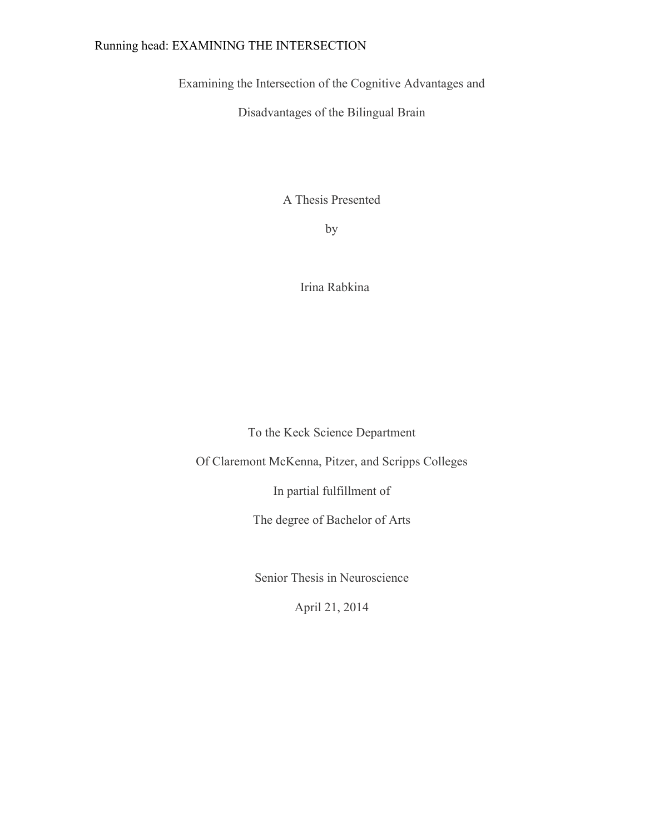# Running head: EXAMINING THE INTERSECTION

Examining the Intersection of the Cognitive Advantages and

Disadvantages of the Bilingual Brain

A Thesis Presented

by

Irina Rabkina

To the Keck Science Department

Of Claremont McKenna, Pitzer, and Scripps Colleges

In partial fulfillment of

The degree of Bachelor of Arts

Senior Thesis in Neuroscience

April 21, 2014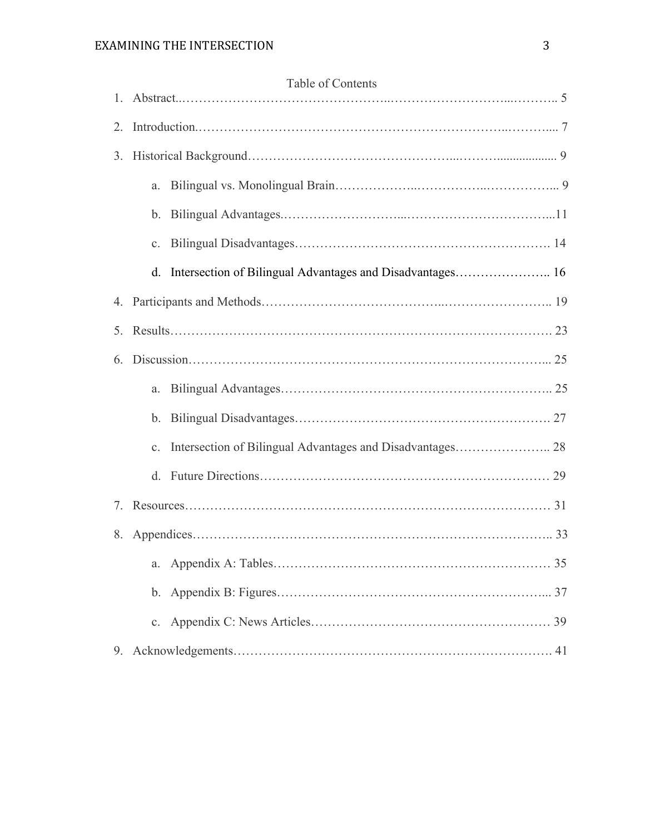| 1.              | Table of Contents                                            |  |  |  |  |
|-----------------|--------------------------------------------------------------|--|--|--|--|
| 2.              |                                                              |  |  |  |  |
| 3.              |                                                              |  |  |  |  |
|                 | a.                                                           |  |  |  |  |
|                 |                                                              |  |  |  |  |
|                 |                                                              |  |  |  |  |
|                 | d. Intersection of Bilingual Advantages and Disadvantages 16 |  |  |  |  |
|                 |                                                              |  |  |  |  |
| 5.              |                                                              |  |  |  |  |
| 6.              |                                                              |  |  |  |  |
|                 | a.                                                           |  |  |  |  |
|                 |                                                              |  |  |  |  |
|                 |                                                              |  |  |  |  |
|                 | <sub>d</sub>                                                 |  |  |  |  |
| $7\overline{ }$ |                                                              |  |  |  |  |
| 8.              |                                                              |  |  |  |  |
|                 | a.                                                           |  |  |  |  |
|                 |                                                              |  |  |  |  |
|                 |                                                              |  |  |  |  |
| 9.              |                                                              |  |  |  |  |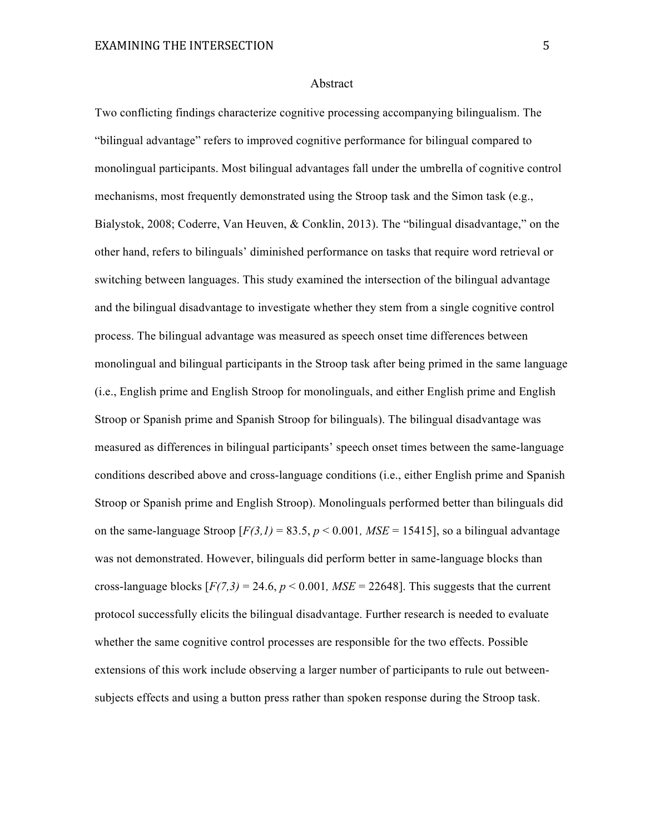#### Abstract

Two conflicting findings characterize cognitive processing accompanying bilingualism. The "bilingual advantage" refers to improved cognitive performance for bilingual compared to monolingual participants. Most bilingual advantages fall under the umbrella of cognitive control mechanisms, most frequently demonstrated using the Stroop task and the Simon task (e.g., Bialystok, 2008; Coderre, Van Heuven, & Conklin, 2013). The "bilingual disadvantage," on the other hand, refers to bilinguals' diminished performance on tasks that require word retrieval or switching between languages. This study examined the intersection of the bilingual advantage and the bilingual disadvantage to investigate whether they stem from a single cognitive control process. The bilingual advantage was measured as speech onset time differences between monolingual and bilingual participants in the Stroop task after being primed in the same language (i.e., English prime and English Stroop for monolinguals, and either English prime and English Stroop or Spanish prime and Spanish Stroop for bilinguals). The bilingual disadvantage was measured as differences in bilingual participants' speech onset times between the same-language conditions described above and cross-language conditions (i.e., either English prime and Spanish Stroop or Spanish prime and English Stroop). Monolinguals performed better than bilinguals did on the same-language Stroop  $[F(3,1) = 83.5, p < 0.001, MSE = 15415]$ , so a bilingual advantage was not demonstrated. However, bilinguals did perform better in same-language blocks than cross-language blocks  $[F(7,3) = 24.6, p \le 0.001, MSE = 22648]$ . This suggests that the current protocol successfully elicits the bilingual disadvantage. Further research is needed to evaluate whether the same cognitive control processes are responsible for the two effects. Possible extensions of this work include observing a larger number of participants to rule out betweensubjects effects and using a button press rather than spoken response during the Stroop task.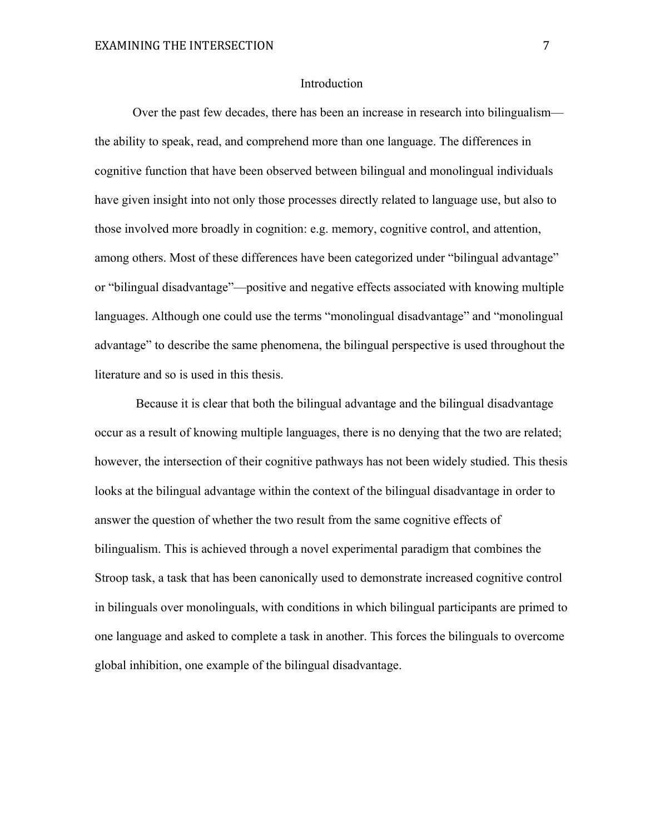#### Introduction

Over the past few decades, there has been an increase in research into bilingualism the ability to speak, read, and comprehend more than one language. The differences in cognitive function that have been observed between bilingual and monolingual individuals have given insight into not only those processes directly related to language use, but also to those involved more broadly in cognition: e.g. memory, cognitive control, and attention, among others. Most of these differences have been categorized under "bilingual advantage" or "bilingual disadvantage"—positive and negative effects associated with knowing multiple languages. Although one could use the terms "monolingual disadvantage" and "monolingual advantage" to describe the same phenomena, the bilingual perspective is used throughout the literature and so is used in this thesis.

Because it is clear that both the bilingual advantage and the bilingual disadvantage occur as a result of knowing multiple languages, there is no denying that the two are related; however, the intersection of their cognitive pathways has not been widely studied. This thesis looks at the bilingual advantage within the context of the bilingual disadvantage in order to answer the question of whether the two result from the same cognitive effects of bilingualism. This is achieved through a novel experimental paradigm that combines the Stroop task, a task that has been canonically used to demonstrate increased cognitive control in bilinguals over monolinguals, with conditions in which bilingual participants are primed to one language and asked to complete a task in another. This forces the bilinguals to overcome global inhibition, one example of the bilingual disadvantage.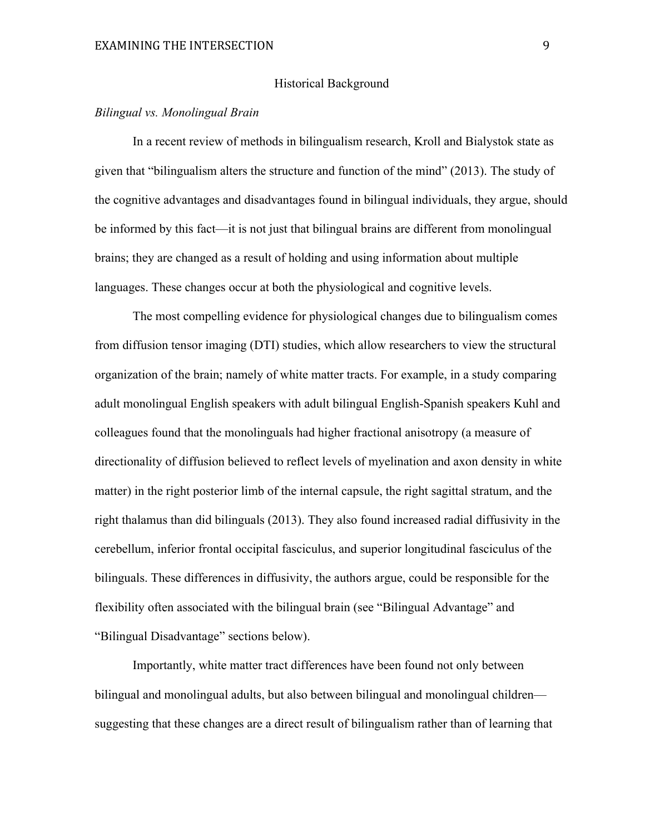#### Historical Background

## *Bilingual vs. Monolingual Brain*

In a recent review of methods in bilingualism research, Kroll and Bialystok state as given that "bilingualism alters the structure and function of the mind" (2013). The study of the cognitive advantages and disadvantages found in bilingual individuals, they argue, should be informed by this fact—it is not just that bilingual brains are different from monolingual brains; they are changed as a result of holding and using information about multiple languages. These changes occur at both the physiological and cognitive levels.

The most compelling evidence for physiological changes due to bilingualism comes from diffusion tensor imaging (DTI) studies, which allow researchers to view the structural organization of the brain; namely of white matter tracts. For example, in a study comparing adult monolingual English speakers with adult bilingual English-Spanish speakers Kuhl and colleagues found that the monolinguals had higher fractional anisotropy (a measure of directionality of diffusion believed to reflect levels of myelination and axon density in white matter) in the right posterior limb of the internal capsule, the right sagittal stratum, and the right thalamus than did bilinguals (2013). They also found increased radial diffusivity in the cerebellum, inferior frontal occipital fasciculus, and superior longitudinal fasciculus of the bilinguals. These differences in diffusivity, the authors argue, could be responsible for the flexibility often associated with the bilingual brain (see "Bilingual Advantage" and "Bilingual Disadvantage" sections below).

Importantly, white matter tract differences have been found not only between bilingual and monolingual adults, but also between bilingual and monolingual children suggesting that these changes are a direct result of bilingualism rather than of learning that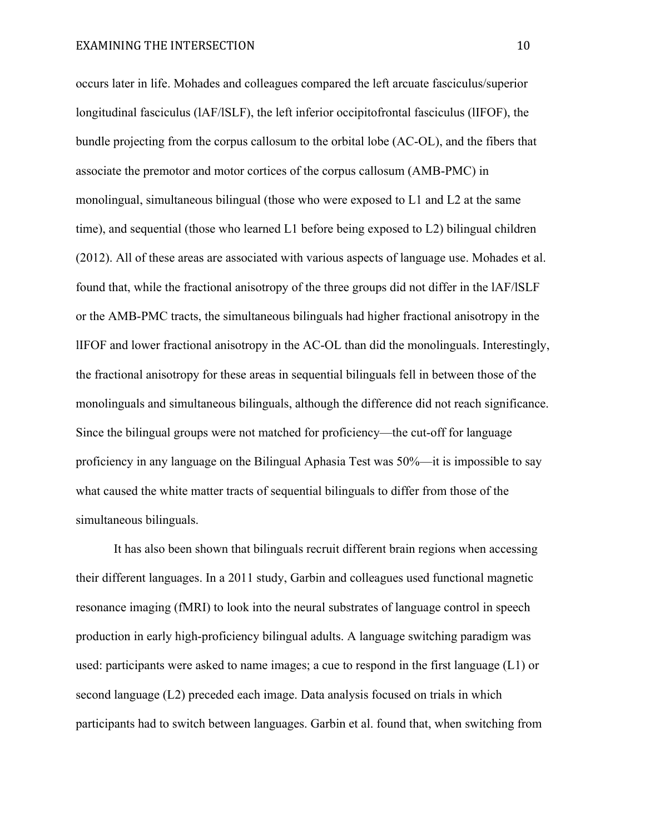occurs later in life. Mohades and colleagues compared the left arcuate fasciculus/superior longitudinal fasciculus (lAF/lSLF), the left inferior occipitofrontal fasciculus (lIFOF), the bundle projecting from the corpus callosum to the orbital lobe (AC-OL), and the fibers that associate the premotor and motor cortices of the corpus callosum (AMB-PMC) in monolingual, simultaneous bilingual (those who were exposed to L1 and L2 at the same time), and sequential (those who learned L1 before being exposed to L2) bilingual children (2012). All of these areas are associated with various aspects of language use. Mohades et al. found that, while the fractional anisotropy of the three groups did not differ in the lAF/lSLF or the AMB-PMC tracts, the simultaneous bilinguals had higher fractional anisotropy in the lIFOF and lower fractional anisotropy in the AC-OL than did the monolinguals. Interestingly, the fractional anisotropy for these areas in sequential bilinguals fell in between those of the monolinguals and simultaneous bilinguals, although the difference did not reach significance. Since the bilingual groups were not matched for proficiency—the cut-off for language proficiency in any language on the Bilingual Aphasia Test was 50%—it is impossible to say what caused the white matter tracts of sequential bilinguals to differ from those of the simultaneous bilinguals.

It has also been shown that bilinguals recruit different brain regions when accessing their different languages. In a 2011 study, Garbin and colleagues used functional magnetic resonance imaging (fMRI) to look into the neural substrates of language control in speech production in early high-proficiency bilingual adults. A language switching paradigm was used: participants were asked to name images; a cue to respond in the first language (L1) or second language (L2) preceded each image. Data analysis focused on trials in which participants had to switch between languages. Garbin et al. found that, when switching from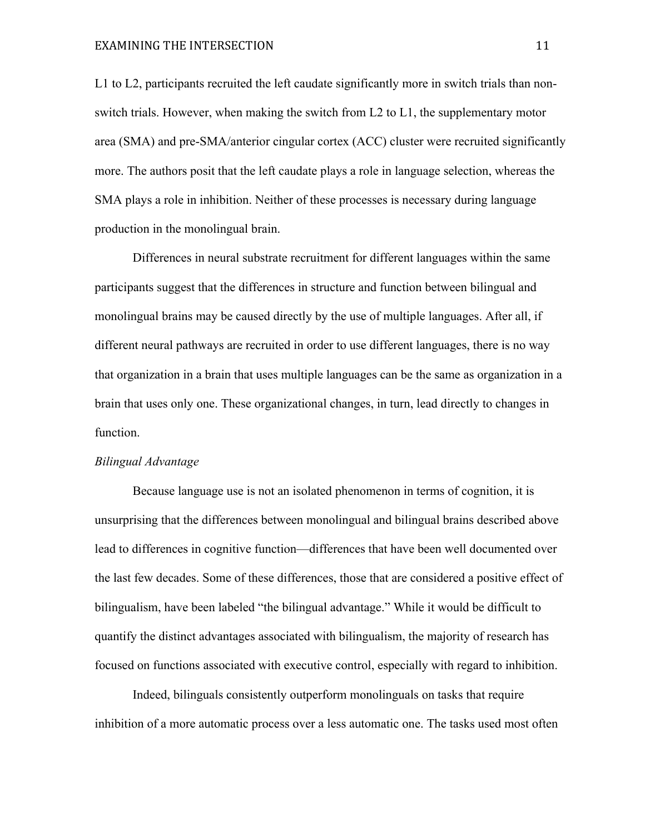L1 to L2, participants recruited the left caudate significantly more in switch trials than nonswitch trials. However, when making the switch from L2 to L1, the supplementary motor area (SMA) and pre-SMA/anterior cingular cortex (ACC) cluster were recruited significantly more. The authors posit that the left caudate plays a role in language selection, whereas the SMA plays a role in inhibition. Neither of these processes is necessary during language production in the monolingual brain.

Differences in neural substrate recruitment for different languages within the same participants suggest that the differences in structure and function between bilingual and monolingual brains may be caused directly by the use of multiple languages. After all, if different neural pathways are recruited in order to use different languages, there is no way that organization in a brain that uses multiple languages can be the same as organization in a brain that uses only one. These organizational changes, in turn, lead directly to changes in function.

#### *Bilingual Advantage*

Because language use is not an isolated phenomenon in terms of cognition, it is unsurprising that the differences between monolingual and bilingual brains described above lead to differences in cognitive function—differences that have been well documented over the last few decades. Some of these differences, those that are considered a positive effect of bilingualism, have been labeled "the bilingual advantage." While it would be difficult to quantify the distinct advantages associated with bilingualism, the majority of research has focused on functions associated with executive control, especially with regard to inhibition.

Indeed, bilinguals consistently outperform monolinguals on tasks that require inhibition of a more automatic process over a less automatic one. The tasks used most often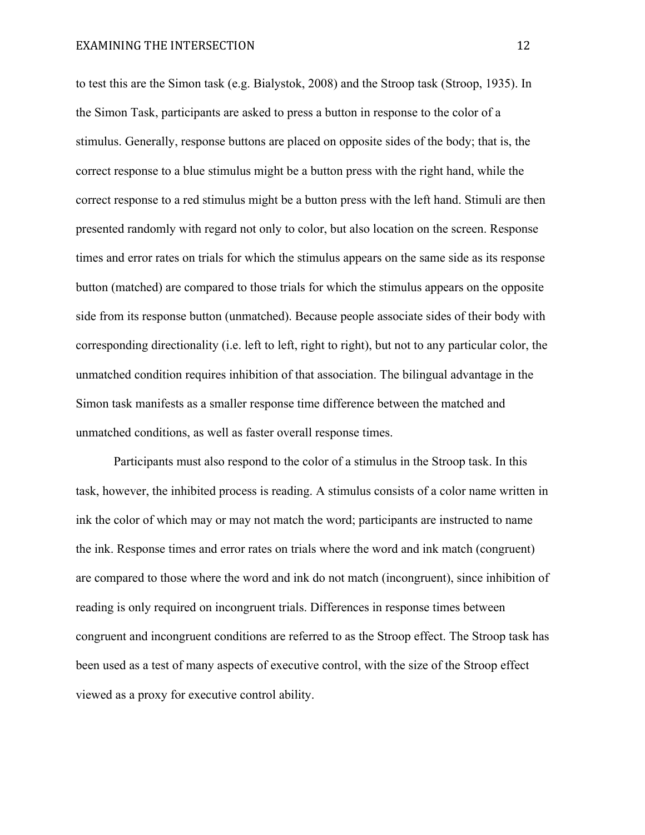to test this are the Simon task (e.g. Bialystok, 2008) and the Stroop task (Stroop, 1935). In the Simon Task, participants are asked to press a button in response to the color of a stimulus. Generally, response buttons are placed on opposite sides of the body; that is, the correct response to a blue stimulus might be a button press with the right hand, while the correct response to a red stimulus might be a button press with the left hand. Stimuli are then presented randomly with regard not only to color, but also location on the screen. Response times and error rates on trials for which the stimulus appears on the same side as its response button (matched) are compared to those trials for which the stimulus appears on the opposite side from its response button (unmatched). Because people associate sides of their body with corresponding directionality (i.e. left to left, right to right), but not to any particular color, the unmatched condition requires inhibition of that association. The bilingual advantage in the Simon task manifests as a smaller response time difference between the matched and unmatched conditions, as well as faster overall response times.

Participants must also respond to the color of a stimulus in the Stroop task. In this task, however, the inhibited process is reading. A stimulus consists of a color name written in ink the color of which may or may not match the word; participants are instructed to name the ink. Response times and error rates on trials where the word and ink match (congruent) are compared to those where the word and ink do not match (incongruent), since inhibition of reading is only required on incongruent trials. Differences in response times between congruent and incongruent conditions are referred to as the Stroop effect. The Stroop task has been used as a test of many aspects of executive control, with the size of the Stroop effect viewed as a proxy for executive control ability.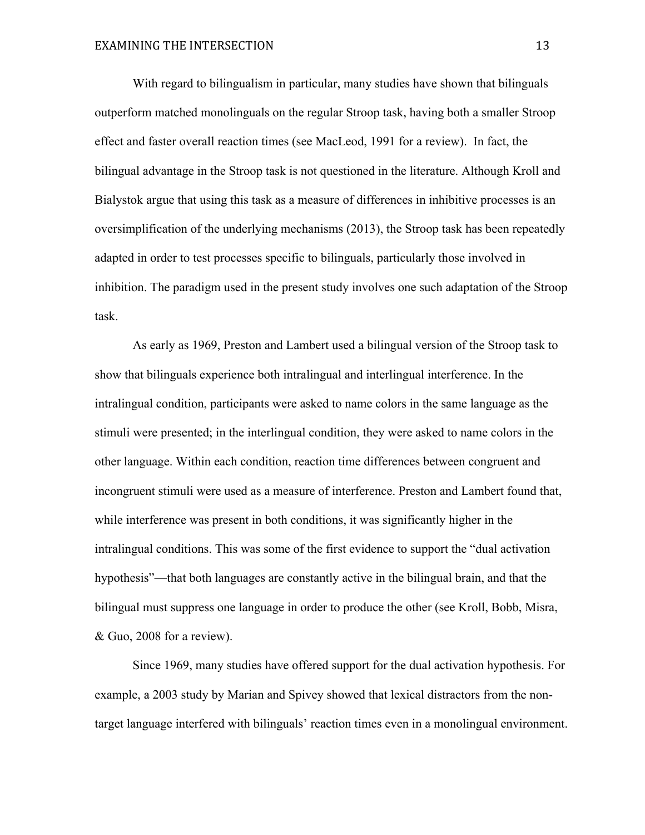With regard to bilingualism in particular, many studies have shown that bilinguals outperform matched monolinguals on the regular Stroop task, having both a smaller Stroop effect and faster overall reaction times (see MacLeod, 1991 for a review). In fact, the bilingual advantage in the Stroop task is not questioned in the literature. Although Kroll and Bialystok argue that using this task as a measure of differences in inhibitive processes is an oversimplification of the underlying mechanisms (2013), the Stroop task has been repeatedly adapted in order to test processes specific to bilinguals, particularly those involved in inhibition. The paradigm used in the present study involves one such adaptation of the Stroop task.

As early as 1969, Preston and Lambert used a bilingual version of the Stroop task to show that bilinguals experience both intralingual and interlingual interference. In the intralingual condition, participants were asked to name colors in the same language as the stimuli were presented; in the interlingual condition, they were asked to name colors in the other language. Within each condition, reaction time differences between congruent and incongruent stimuli were used as a measure of interference. Preston and Lambert found that, while interference was present in both conditions, it was significantly higher in the intralingual conditions. This was some of the first evidence to support the "dual activation hypothesis"—that both languages are constantly active in the bilingual brain, and that the bilingual must suppress one language in order to produce the other (see Kroll, Bobb, Misra, & Guo, 2008 for a review).

Since 1969, many studies have offered support for the dual activation hypothesis. For example, a 2003 study by Marian and Spivey showed that lexical distractors from the nontarget language interfered with bilinguals' reaction times even in a monolingual environment.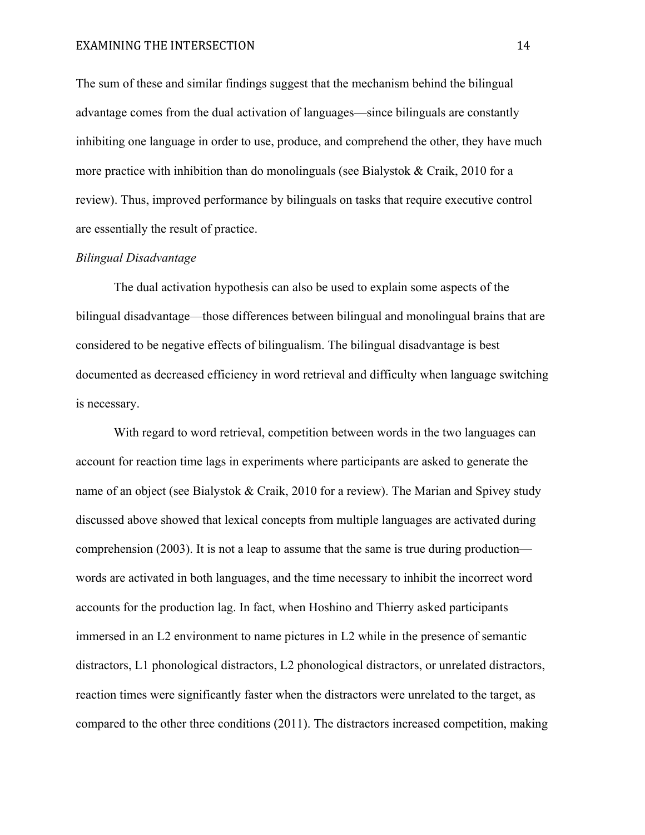The sum of these and similar findings suggest that the mechanism behind the bilingual advantage comes from the dual activation of languages—since bilinguals are constantly inhibiting one language in order to use, produce, and comprehend the other, they have much more practice with inhibition than do monolinguals (see Bialystok & Craik, 2010 for a review). Thus, improved performance by bilinguals on tasks that require executive control are essentially the result of practice.

#### *Bilingual Disadvantage*

The dual activation hypothesis can also be used to explain some aspects of the bilingual disadvantage—those differences between bilingual and monolingual brains that are considered to be negative effects of bilingualism. The bilingual disadvantage is best documented as decreased efficiency in word retrieval and difficulty when language switching is necessary.

With regard to word retrieval, competition between words in the two languages can account for reaction time lags in experiments where participants are asked to generate the name of an object (see Bialystok & Craik, 2010 for a review). The Marian and Spivey study discussed above showed that lexical concepts from multiple languages are activated during comprehension (2003). It is not a leap to assume that the same is true during production words are activated in both languages, and the time necessary to inhibit the incorrect word accounts for the production lag. In fact, when Hoshino and Thierry asked participants immersed in an L2 environment to name pictures in L2 while in the presence of semantic distractors, L1 phonological distractors, L2 phonological distractors, or unrelated distractors, reaction times were significantly faster when the distractors were unrelated to the target, as compared to the other three conditions (2011). The distractors increased competition, making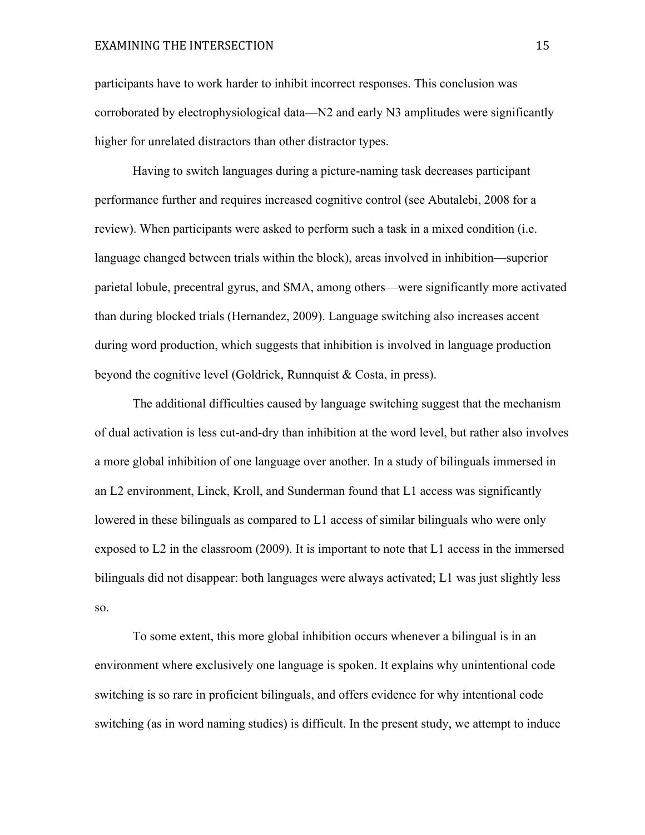participants have to work harder to inhibit incorrect responses. This conclusion was corroborated by electrophysiological data—N2 and early N3 amplitudes were significantly higher for unrelated distractors than other distractor types.

Having to switch languages during a picture-naming task decreases participant performance further and requires increased cognitive control (see Abutalebi, 2008 for a review). When participants were asked to perform such a task in a mixed condition (i.e. language changed between trials within the block), areas involved in inhibition—superior parietal lobule, precentral gyrus, and SMA, among others—were significantly more activated than during blocked trials (Hernandez, 2009). Language switching also increases accent during word production, which suggests that inhibition is involved in language production beyond the cognitive level (Goldrick, Runnquist & Costa, in press).

The additional difficulties caused by language switching suggest that the mechanism of dual activation is less cut-and-dry than inhibition at the word level, but rather also involves a more global inhibition of one language over another. In a study of bilinguals immersed in an L2 environment, Linck, Kroll, and Sunderman found that L1 access was significantly lowered in these bilinguals as compared to L1 access of similar bilinguals who were only exposed to L2 in the classroom (2009). It is important to note that L1 access in the immersed bilinguals did not disappear: both languages were always activated; L1 was just slightly less so.

To some extent, this more global inhibition occurs whenever a bilingual is in an environment where exclusively one language is spoken. It explains why unintentional code switching is so rare in proficient bilinguals, and offers evidence for why intentional code switching (as in word naming studies) is difficult. In the present study, we attempt to induce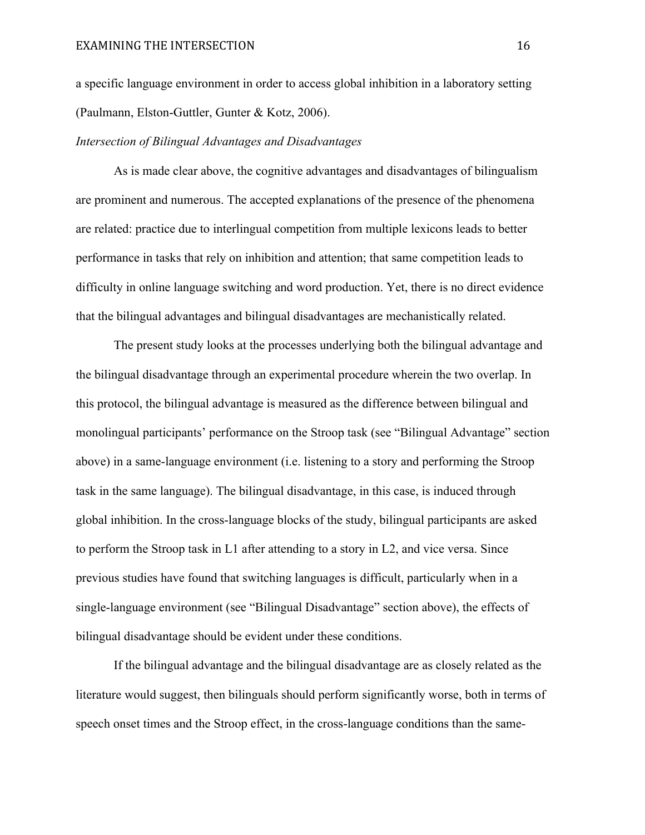a specific language environment in order to access global inhibition in a laboratory setting (Paulmann, Elston-Guttler, Gunter & Kotz, 2006).

#### *Intersection of Bilingual Advantages and Disadvantages*

As is made clear above, the cognitive advantages and disadvantages of bilingualism are prominent and numerous. The accepted explanations of the presence of the phenomena are related: practice due to interlingual competition from multiple lexicons leads to better performance in tasks that rely on inhibition and attention; that same competition leads to difficulty in online language switching and word production. Yet, there is no direct evidence that the bilingual advantages and bilingual disadvantages are mechanistically related.

The present study looks at the processes underlying both the bilingual advantage and the bilingual disadvantage through an experimental procedure wherein the two overlap. In this protocol, the bilingual advantage is measured as the difference between bilingual and monolingual participants' performance on the Stroop task (see "Bilingual Advantage" section above) in a same-language environment (i.e. listening to a story and performing the Stroop task in the same language). The bilingual disadvantage, in this case, is induced through global inhibition. In the cross-language blocks of the study, bilingual participants are asked to perform the Stroop task in L1 after attending to a story in L2, and vice versa. Since previous studies have found that switching languages is difficult, particularly when in a single-language environment (see "Bilingual Disadvantage" section above), the effects of bilingual disadvantage should be evident under these conditions.

If the bilingual advantage and the bilingual disadvantage are as closely related as the literature would suggest, then bilinguals should perform significantly worse, both in terms of speech onset times and the Stroop effect, in the cross-language conditions than the same-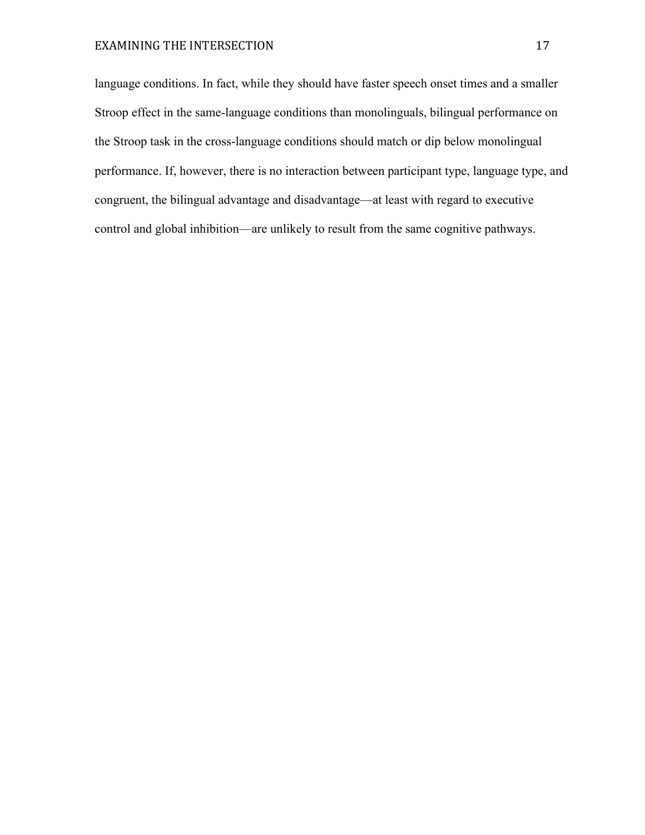language conditions. In fact, while they should have faster speech onset times and a smaller Stroop effect in the same-language conditions than monolinguals, bilingual performance on the Stroop task in the cross-language conditions should match or dip below monolingual performance. If, however, there is no interaction between participant type, language type, and congruent, the bilingual advantage and disadvantage—at least with regard to executive control and global inhibition—are unlikely to result from the same cognitive pathways.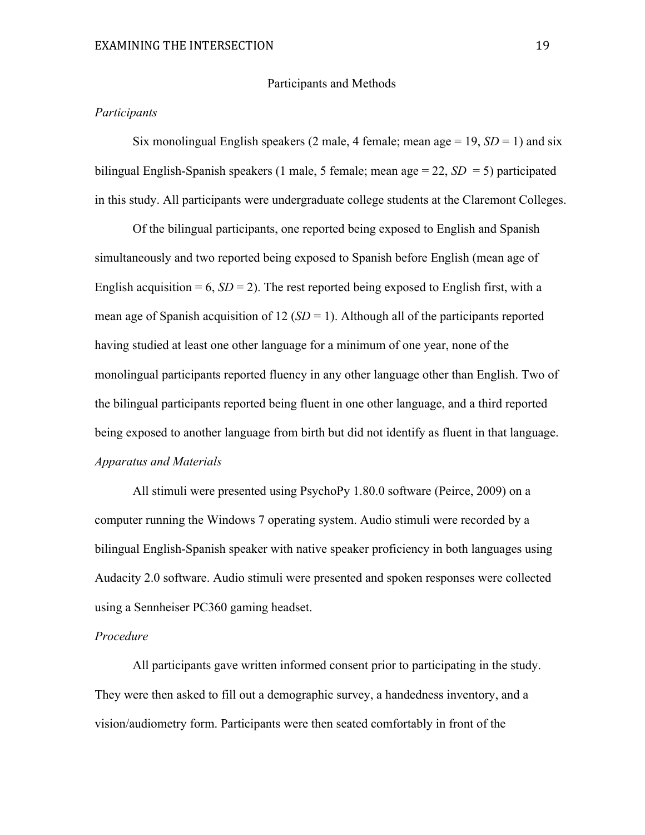#### Participants and Methods

#### *Participants*

Six monolingual English speakers (2 male, 4 female; mean age  $= 19$ ,  $SD = 1$ ) and six bilingual English-Spanish speakers (1 male, 5 female; mean age = 22, *SD* = 5) participated in this study. All participants were undergraduate college students at the Claremont Colleges.

Of the bilingual participants, one reported being exposed to English and Spanish simultaneously and two reported being exposed to Spanish before English (mean age of English acquisition = 6,  $SD = 2$ ). The rest reported being exposed to English first, with a mean age of Spanish acquisition of 12 (*SD* = 1). Although all of the participants reported having studied at least one other language for a minimum of one year, none of the monolingual participants reported fluency in any other language other than English. Two of the bilingual participants reported being fluent in one other language, and a third reported being exposed to another language from birth but did not identify as fluent in that language. *Apparatus and Materials*

All stimuli were presented using PsychoPy 1.80.0 software (Peirce, 2009) on a computer running the Windows 7 operating system. Audio stimuli were recorded by a bilingual English-Spanish speaker with native speaker proficiency in both languages using Audacity 2.0 software. Audio stimuli were presented and spoken responses were collected using a Sennheiser PC360 gaming headset.

### *Procedure*

All participants gave written informed consent prior to participating in the study. They were then asked to fill out a demographic survey, a handedness inventory, and a vision/audiometry form. Participants were then seated comfortably in front of the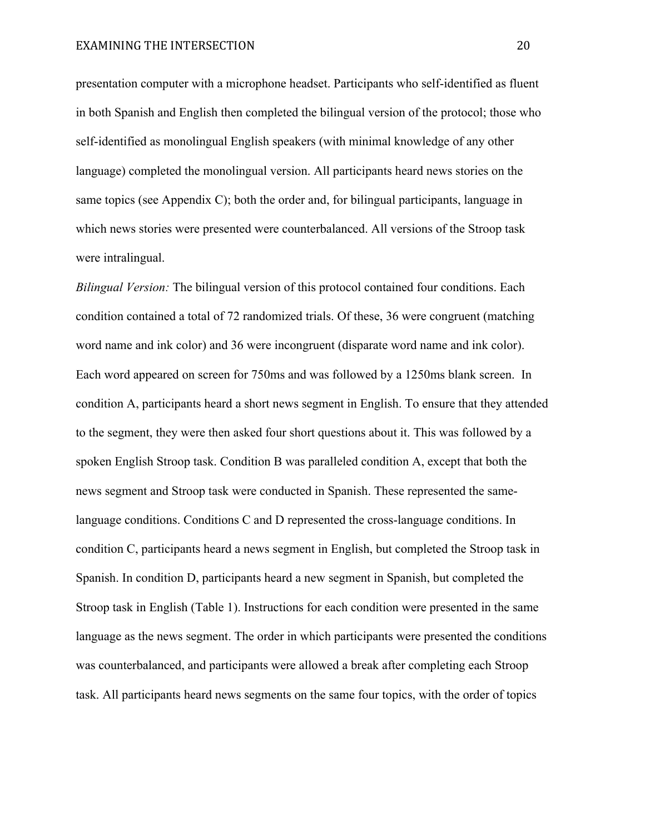presentation computer with a microphone headset. Participants who self-identified as fluent in both Spanish and English then completed the bilingual version of the protocol; those who self-identified as monolingual English speakers (with minimal knowledge of any other language) completed the monolingual version. All participants heard news stories on the same topics (see Appendix C); both the order and, for bilingual participants, language in which news stories were presented were counterbalanced. All versions of the Stroop task were intralingual.

*Bilingual Version:* The bilingual version of this protocol contained four conditions. Each condition contained a total of 72 randomized trials. Of these, 36 were congruent (matching word name and ink color) and 36 were incongruent (disparate word name and ink color). Each word appeared on screen for 750ms and was followed by a 1250ms blank screen. In condition A, participants heard a short news segment in English. To ensure that they attended to the segment, they were then asked four short questions about it. This was followed by a spoken English Stroop task. Condition B was paralleled condition A, except that both the news segment and Stroop task were conducted in Spanish. These represented the samelanguage conditions. Conditions C and D represented the cross-language conditions. In condition C, participants heard a news segment in English, but completed the Stroop task in Spanish. In condition D, participants heard a new segment in Spanish, but completed the Stroop task in English (Table 1). Instructions for each condition were presented in the same language as the news segment. The order in which participants were presented the conditions was counterbalanced, and participants were allowed a break after completing each Stroop task. All participants heard news segments on the same four topics, with the order of topics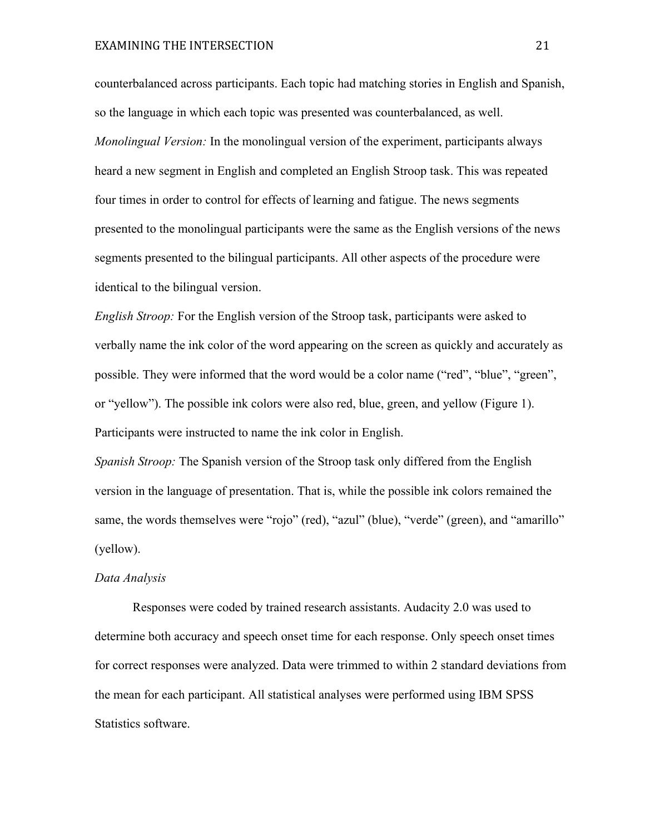counterbalanced across participants. Each topic had matching stories in English and Spanish, so the language in which each topic was presented was counterbalanced, as well. *Monolingual Version:* In the monolingual version of the experiment, participants always heard a new segment in English and completed an English Stroop task. This was repeated four times in order to control for effects of learning and fatigue. The news segments presented to the monolingual participants were the same as the English versions of the news segments presented to the bilingual participants. All other aspects of the procedure were identical to the bilingual version.

*English Stroop:* For the English version of the Stroop task, participants were asked to verbally name the ink color of the word appearing on the screen as quickly and accurately as possible. They were informed that the word would be a color name ("red", "blue", "green", or "yellow"). The possible ink colors were also red, blue, green, and yellow (Figure 1). Participants were instructed to name the ink color in English.

*Spanish Stroop:* The Spanish version of the Stroop task only differed from the English version in the language of presentation. That is, while the possible ink colors remained the same, the words themselves were "rojo" (red), "azul" (blue), "verde" (green), and "amarillo" (yellow).

#### *Data Analysis*

Responses were coded by trained research assistants. Audacity 2.0 was used to determine both accuracy and speech onset time for each response. Only speech onset times for correct responses were analyzed. Data were trimmed to within 2 standard deviations from the mean for each participant. All statistical analyses were performed using IBM SPSS Statistics software.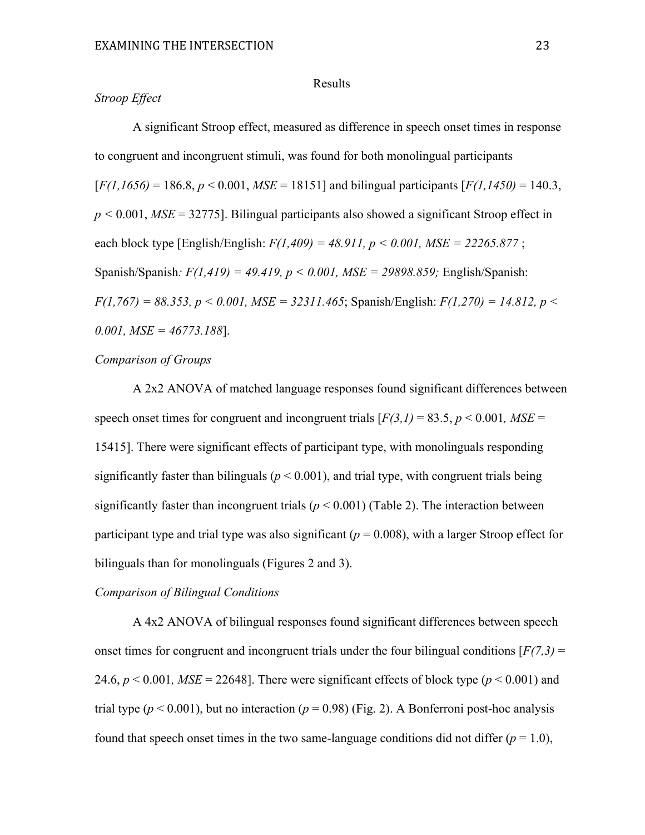## Results

# *Stroop Effect*

A significant Stroop effect, measured as difference in speech onset times in response to congruent and incongruent stimuli, was found for both monolingual participants  $[F(1, 1656) = 186.8, p < 0.001, MSE = 18151]$  and bilingual participants  $[F(1, 1450) = 140.3]$ , *p <* 0.001, *MSE* = 32775]. Bilingual participants also showed a significant Stroop effect in each block type [English/English: *F(1,409) = 48.911, p < 0.001, MSE = 22265.877* ; Spanish/Spanish*: F(1,419) = 49.419, p < 0.001, MSE = 29898.859;* English/Spanish: *F(1,767) = 88.353, p < 0.001, MSE = 32311.465*; Spanish/English: *F(1,270) = 14.812, p < 0.001, MSE = 46773.188*].

#### *Comparison of Groups*

A 2x2 ANOVA of matched language responses found significant differences between speech onset times for congruent and incongruent trials  $[F(3,1) = 83.5, p \le 0.001, MSE =$ 15415]. There were significant effects of participant type, with monolinguals responding significantly faster than bilinguals ( $p < 0.001$ ), and trial type, with congruent trials being significantly faster than incongruent trials  $(p < 0.001)$  (Table 2). The interaction between participant type and trial type was also significant ( $p = 0.008$ ), with a larger Stroop effect for bilinguals than for monolinguals (Figures 2 and 3).

## *Comparison of Bilingual Conditions*

A 4x2 ANOVA of bilingual responses found significant differences between speech onset times for congruent and incongruent trials under the four bilingual conditions  $[F(7,3) =$ 24.6,  $p < 0.001$ ,  $MSE = 22648$ ]. There were significant effects of block type ( $p < 0.001$ ) and trial type ( $p < 0.001$ ), but no interaction ( $p = 0.98$ ) (Fig. 2). A Bonferroni post-hoc analysis found that speech onset times in the two same-language conditions did not differ  $(p = 1.0)$ ,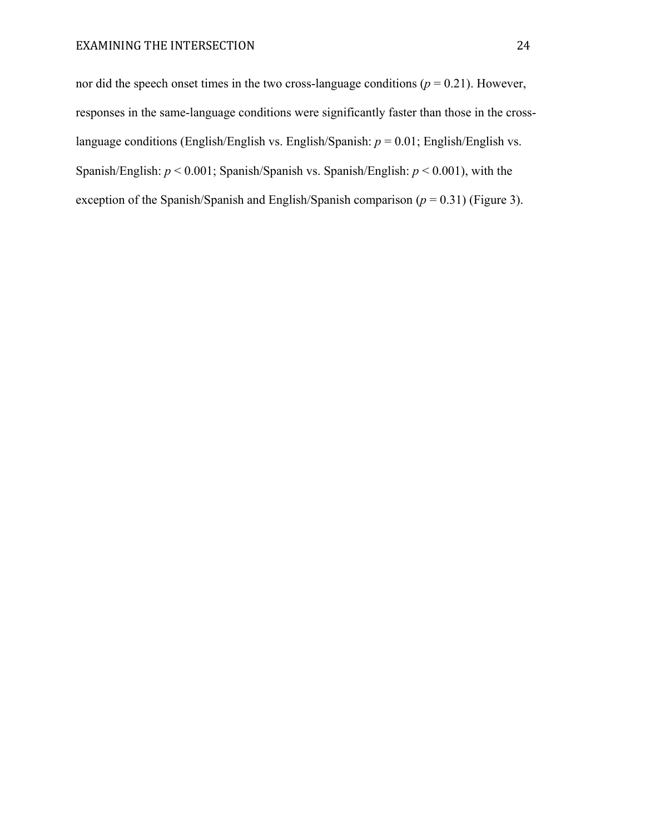nor did the speech onset times in the two cross-language conditions  $(p = 0.21)$ . However, responses in the same-language conditions were significantly faster than those in the crosslanguage conditions (English/English vs. English/Spanish: *p* = 0.01; English/English vs. Spanish/English: *p* < 0.001; Spanish/Spanish vs. Spanish/English: *p* < 0.001), with the exception of the Spanish/Spanish and English/Spanish comparison  $(p = 0.31)$  (Figure 3).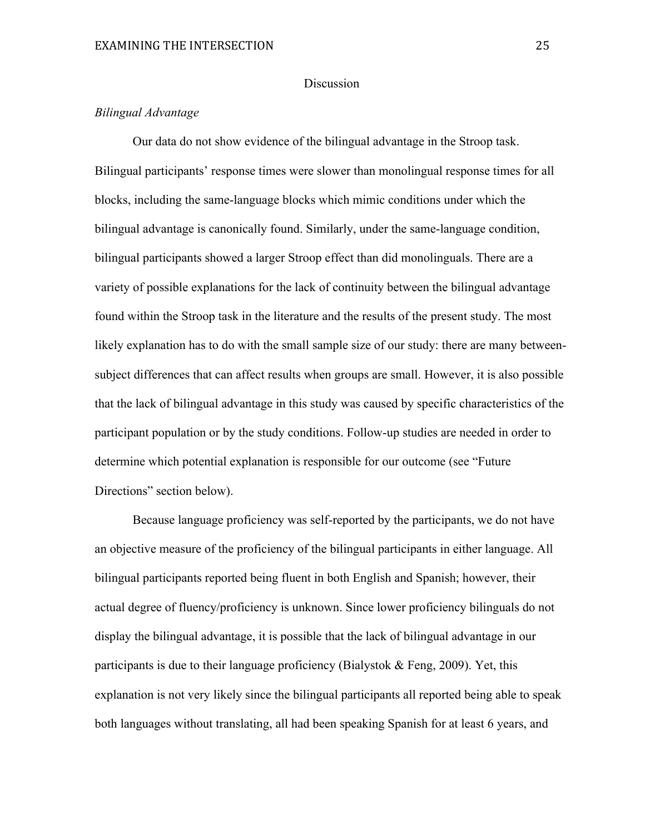## Discussion

# *Bilingual Advantage*

Our data do not show evidence of the bilingual advantage in the Stroop task. Bilingual participants' response times were slower than monolingual response times for all blocks, including the same-language blocks which mimic conditions under which the bilingual advantage is canonically found. Similarly, under the same-language condition, bilingual participants showed a larger Stroop effect than did monolinguals. There are a variety of possible explanations for the lack of continuity between the bilingual advantage found within the Stroop task in the literature and the results of the present study. The most likely explanation has to do with the small sample size of our study: there are many betweensubject differences that can affect results when groups are small. However, it is also possible that the lack of bilingual advantage in this study was caused by specific characteristics of the participant population or by the study conditions. Follow-up studies are needed in order to determine which potential explanation is responsible for our outcome (see "Future Directions" section below).

Because language proficiency was self-reported by the participants, we do not have an objective measure of the proficiency of the bilingual participants in either language. All bilingual participants reported being fluent in both English and Spanish; however, their actual degree of fluency/proficiency is unknown. Since lower proficiency bilinguals do not display the bilingual advantage, it is possible that the lack of bilingual advantage in our participants is due to their language proficiency (Bialystok  $\&$  Feng, 2009). Yet, this explanation is not very likely since the bilingual participants all reported being able to speak both languages without translating, all had been speaking Spanish for at least 6 years, and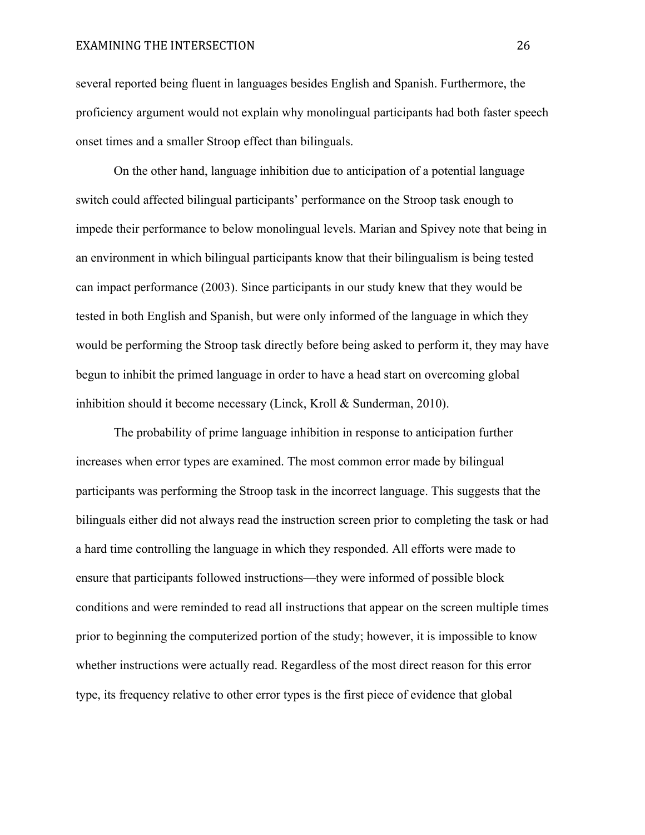several reported being fluent in languages besides English and Spanish. Furthermore, the proficiency argument would not explain why monolingual participants had both faster speech onset times and a smaller Stroop effect than bilinguals.

On the other hand, language inhibition due to anticipation of a potential language switch could affected bilingual participants' performance on the Stroop task enough to impede their performance to below monolingual levels. Marian and Spivey note that being in an environment in which bilingual participants know that their bilingualism is being tested can impact performance (2003). Since participants in our study knew that they would be tested in both English and Spanish, but were only informed of the language in which they would be performing the Stroop task directly before being asked to perform it, they may have begun to inhibit the primed language in order to have a head start on overcoming global inhibition should it become necessary (Linck, Kroll & Sunderman, 2010).

The probability of prime language inhibition in response to anticipation further increases when error types are examined. The most common error made by bilingual participants was performing the Stroop task in the incorrect language. This suggests that the bilinguals either did not always read the instruction screen prior to completing the task or had a hard time controlling the language in which they responded. All efforts were made to ensure that participants followed instructions—they were informed of possible block conditions and were reminded to read all instructions that appear on the screen multiple times prior to beginning the computerized portion of the study; however, it is impossible to know whether instructions were actually read. Regardless of the most direct reason for this error type, its frequency relative to other error types is the first piece of evidence that global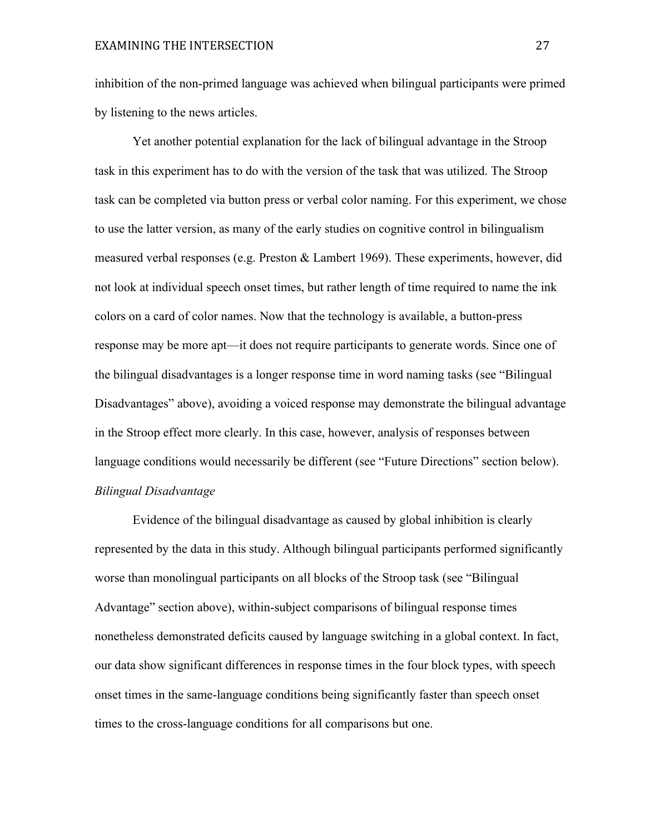inhibition of the non-primed language was achieved when bilingual participants were primed by listening to the news articles.

Yet another potential explanation for the lack of bilingual advantage in the Stroop task in this experiment has to do with the version of the task that was utilized. The Stroop task can be completed via button press or verbal color naming. For this experiment, we chose to use the latter version, as many of the early studies on cognitive control in bilingualism measured verbal responses (e.g. Preston & Lambert 1969). These experiments, however, did not look at individual speech onset times, but rather length of time required to name the ink colors on a card of color names. Now that the technology is available, a button-press response may be more apt—it does not require participants to generate words. Since one of the bilingual disadvantages is a longer response time in word naming tasks (see "Bilingual Disadvantages" above), avoiding a voiced response may demonstrate the bilingual advantage in the Stroop effect more clearly. In this case, however, analysis of responses between language conditions would necessarily be different (see "Future Directions" section below). *Bilingual Disadvantage*

Evidence of the bilingual disadvantage as caused by global inhibition is clearly represented by the data in this study. Although bilingual participants performed significantly worse than monolingual participants on all blocks of the Stroop task (see "Bilingual Advantage" section above), within-subject comparisons of bilingual response times nonetheless demonstrated deficits caused by language switching in a global context. In fact, our data show significant differences in response times in the four block types, with speech onset times in the same-language conditions being significantly faster than speech onset times to the cross-language conditions for all comparisons but one.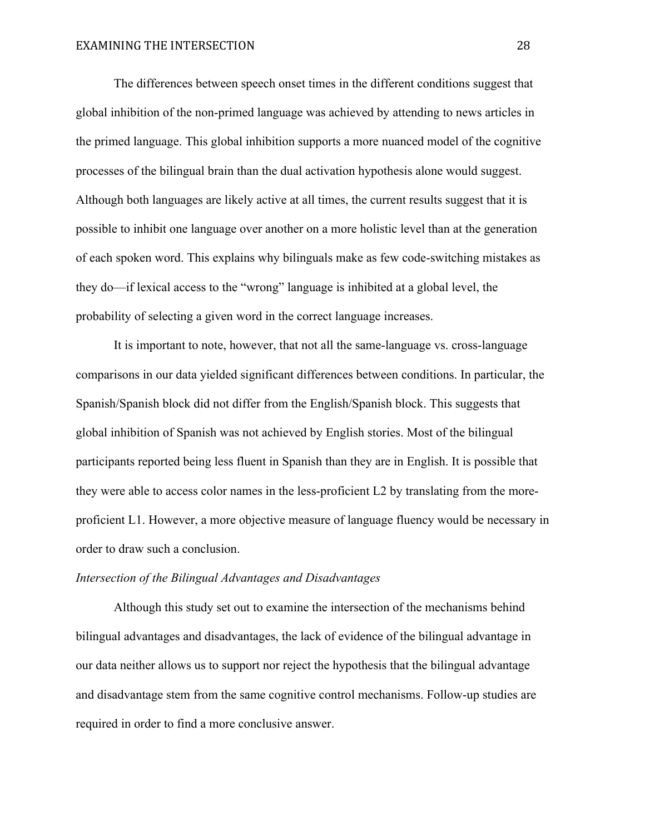The differences between speech onset times in the different conditions suggest that global inhibition of the non-primed language was achieved by attending to news articles in the primed language. This global inhibition supports a more nuanced model of the cognitive processes of the bilingual brain than the dual activation hypothesis alone would suggest. Although both languages are likely active at all times, the current results suggest that it is possible to inhibit one language over another on a more holistic level than at the generation of each spoken word. This explains why bilinguals make as few code-switching mistakes as they do—if lexical access to the "wrong" language is inhibited at a global level, the probability of selecting a given word in the correct language increases.

It is important to note, however, that not all the same-language vs. cross-language comparisons in our data yielded significant differences between conditions. In particular, the Spanish/Spanish block did not differ from the English/Spanish block. This suggests that global inhibition of Spanish was not achieved by English stories. Most of the bilingual participants reported being less fluent in Spanish than they are in English. It is possible that they were able to access color names in the less-proficient L2 by translating from the moreproficient L1. However, a more objective measure of language fluency would be necessary in order to draw such a conclusion.

## *Intersection of the Bilingual Advantages and Disadvantages*

Although this study set out to examine the intersection of the mechanisms behind bilingual advantages and disadvantages, the lack of evidence of the bilingual advantage in our data neither allows us to support nor reject the hypothesis that the bilingual advantage and disadvantage stem from the same cognitive control mechanisms. Follow-up studies are required in order to find a more conclusive answer.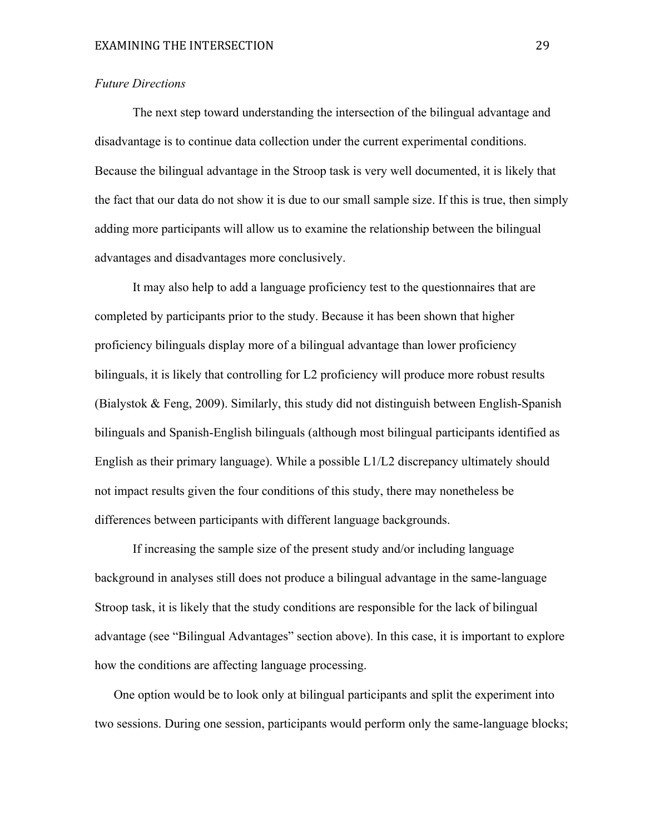## *Future Directions*

The next step toward understanding the intersection of the bilingual advantage and disadvantage is to continue data collection under the current experimental conditions. Because the bilingual advantage in the Stroop task is very well documented, it is likely that the fact that our data do not show it is due to our small sample size. If this is true, then simply adding more participants will allow us to examine the relationship between the bilingual advantages and disadvantages more conclusively.

It may also help to add a language proficiency test to the questionnaires that are completed by participants prior to the study. Because it has been shown that higher proficiency bilinguals display more of a bilingual advantage than lower proficiency bilinguals, it is likely that controlling for L2 proficiency will produce more robust results (Bialystok & Feng, 2009). Similarly, this study did not distinguish between English-Spanish bilinguals and Spanish-English bilinguals (although most bilingual participants identified as English as their primary language). While a possible L1/L2 discrepancy ultimately should not impact results given the four conditions of this study, there may nonetheless be differences between participants with different language backgrounds.

If increasing the sample size of the present study and/or including language background in analyses still does not produce a bilingual advantage in the same-language Stroop task, it is likely that the study conditions are responsible for the lack of bilingual advantage (see "Bilingual Advantages" section above). In this case, it is important to explore how the conditions are affecting language processing.

One option would be to look only at bilingual participants and split the experiment into two sessions. During one session, participants would perform only the same-language blocks;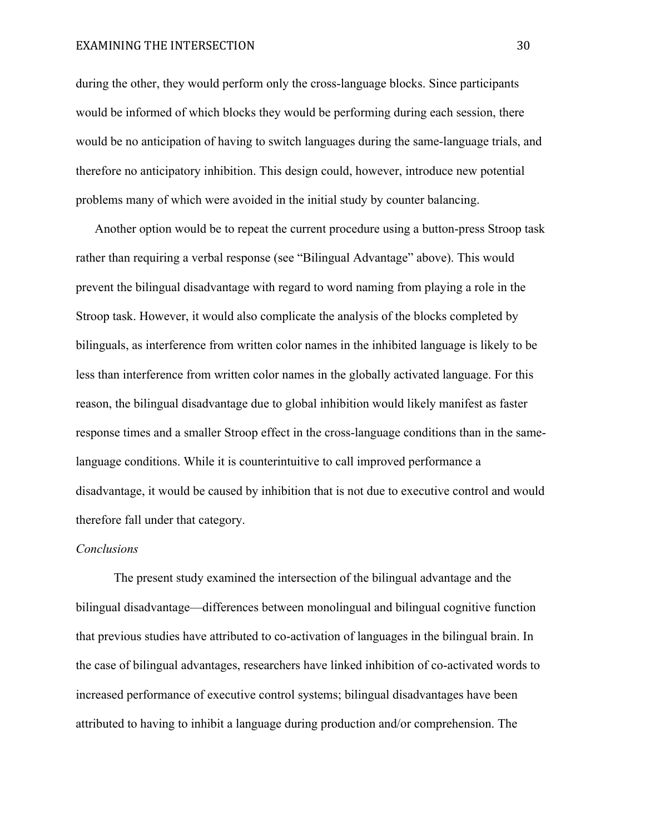during the other, they would perform only the cross-language blocks. Since participants would be informed of which blocks they would be performing during each session, there would be no anticipation of having to switch languages during the same-language trials, and therefore no anticipatory inhibition. This design could, however, introduce new potential problems many of which were avoided in the initial study by counter balancing.

Another option would be to repeat the current procedure using a button-press Stroop task rather than requiring a verbal response (see "Bilingual Advantage" above). This would prevent the bilingual disadvantage with regard to word naming from playing a role in the Stroop task. However, it would also complicate the analysis of the blocks completed by bilinguals, as interference from written color names in the inhibited language is likely to be less than interference from written color names in the globally activated language. For this reason, the bilingual disadvantage due to global inhibition would likely manifest as faster response times and a smaller Stroop effect in the cross-language conditions than in the samelanguage conditions. While it is counterintuitive to call improved performance a disadvantage, it would be caused by inhibition that is not due to executive control and would therefore fall under that category.

#### *Conclusions*

The present study examined the intersection of the bilingual advantage and the bilingual disadvantage—differences between monolingual and bilingual cognitive function that previous studies have attributed to co-activation of languages in the bilingual brain. In the case of bilingual advantages, researchers have linked inhibition of co-activated words to increased performance of executive control systems; bilingual disadvantages have been attributed to having to inhibit a language during production and/or comprehension. The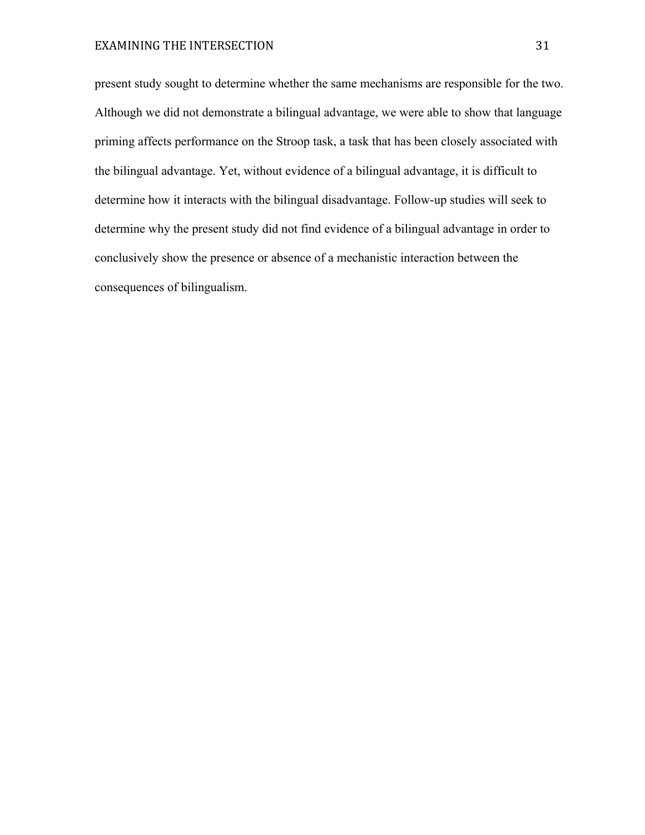present study sought to determine whether the same mechanisms are responsible for the two. Although we did not demonstrate a bilingual advantage, we were able to show that language priming affects performance on the Stroop task, a task that has been closely associated with the bilingual advantage. Yet, without evidence of a bilingual advantage, it is difficult to determine how it interacts with the bilingual disadvantage. Follow-up studies will seek to determine why the present study did not find evidence of a bilingual advantage in order to conclusively show the presence or absence of a mechanistic interaction between the consequences of bilingualism.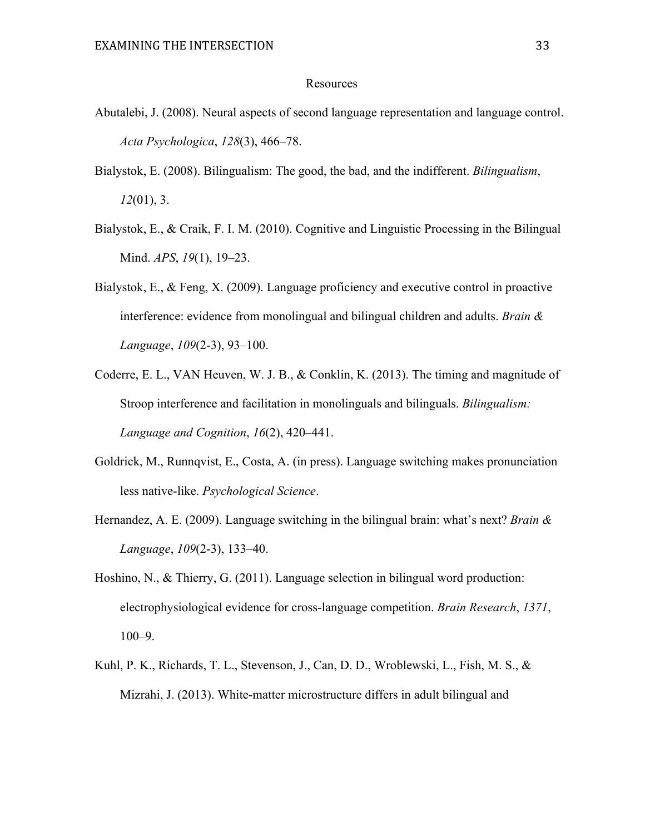#### Resources

- Abutalebi, J. (2008). Neural aspects of second language representation and language control. *Acta Psychologica*, *128*(3), 466–78.
- Bialystok, E. (2008). Bilingualism: The good, the bad, and the indifferent. *Bilingualism*, *12*(01), 3.
- Bialystok, E., & Craik, F. I. M. (2010). Cognitive and Linguistic Processing in the Bilingual Mind. *APS*, *19*(1), 19–23.
- Bialystok, E., & Feng, X. (2009). Language proficiency and executive control in proactive interference: evidence from monolingual and bilingual children and adults. *Brain & Language*, *109*(2-3), 93–100.
- Coderre, E. L., VAN Heuven, W. J. B., & Conklin, K. (2013). The timing and magnitude of Stroop interference and facilitation in monolinguals and bilinguals. *Bilingualism: Language and Cognition*, *16*(2), 420–441.
- Goldrick, M., Runnqvist, E., Costa, A. (in press). Language switching makes pronunciation less native-like. *Psychological Science*.
- Hernandez, A. E. (2009). Language switching in the bilingual brain: what's next? *Brain & Language*, *109*(2-3), 133–40.
- Hoshino, N., & Thierry, G. (2011). Language selection in bilingual word production: electrophysiological evidence for cross-language competition. *Brain Research*, *1371*, 100–9.
- Kuhl, P. K., Richards, T. L., Stevenson, J., Can, D. D., Wroblewski, L., Fish, M. S., & Mizrahi, J. (2013). White-matter microstructure differs in adult bilingual and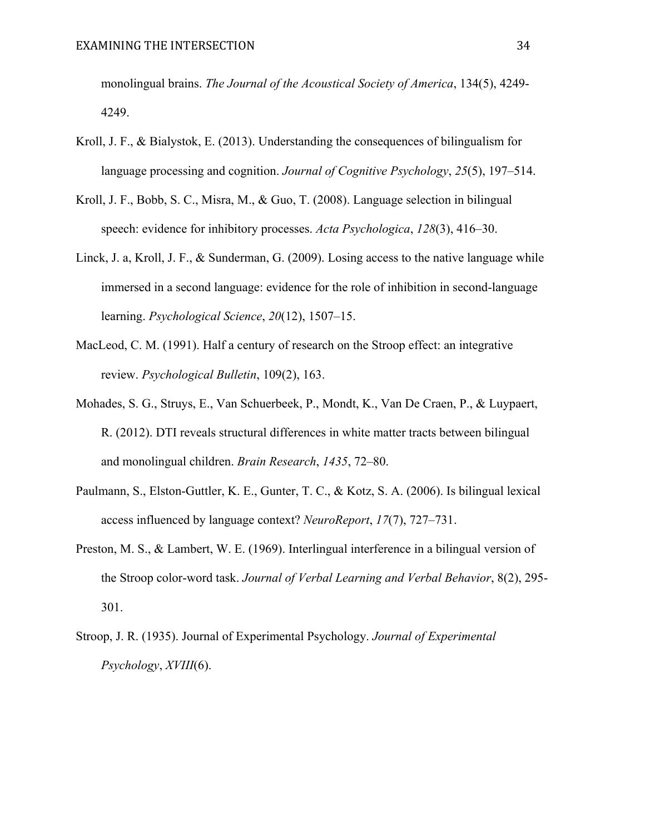monolingual brains. *The Journal of the Acoustical Society of America*, 134(5), 4249- 4249.

- Kroll, J. F., & Bialystok, E. (2013). Understanding the consequences of bilingualism for language processing and cognition. *Journal of Cognitive Psychology*, *25*(5), 197–514.
- Kroll, J. F., Bobb, S. C., Misra, M., & Guo, T. (2008). Language selection in bilingual speech: evidence for inhibitory processes. *Acta Psychologica*, *128*(3), 416–30.
- Linck, J. a, Kroll, J. F., & Sunderman, G. (2009). Losing access to the native language while immersed in a second language: evidence for the role of inhibition in second-language learning. *Psychological Science*, *20*(12), 1507–15.
- MacLeod, C. M. (1991). Half a century of research on the Stroop effect: an integrative review. *Psychological Bulletin*, 109(2), 163.
- Mohades, S. G., Struys, E., Van Schuerbeek, P., Mondt, K., Van De Craen, P., & Luypaert, R. (2012). DTI reveals structural differences in white matter tracts between bilingual and monolingual children. *Brain Research*, *1435*, 72–80.
- Paulmann, S., Elston-Guttler, K. E., Gunter, T. C., & Kotz, S. A. (2006). Is bilingual lexical access influenced by language context? *NeuroReport*, *17*(7), 727–731.
- Preston, M. S., & Lambert, W. E. (1969). Interlingual interference in a bilingual version of the Stroop color-word task. *Journal of Verbal Learning and Verbal Behavior*, 8(2), 295- 301.
- Stroop, J. R. (1935). Journal of Experimental Psychology. *Journal of Experimental Psychology*, *XVIII*(6).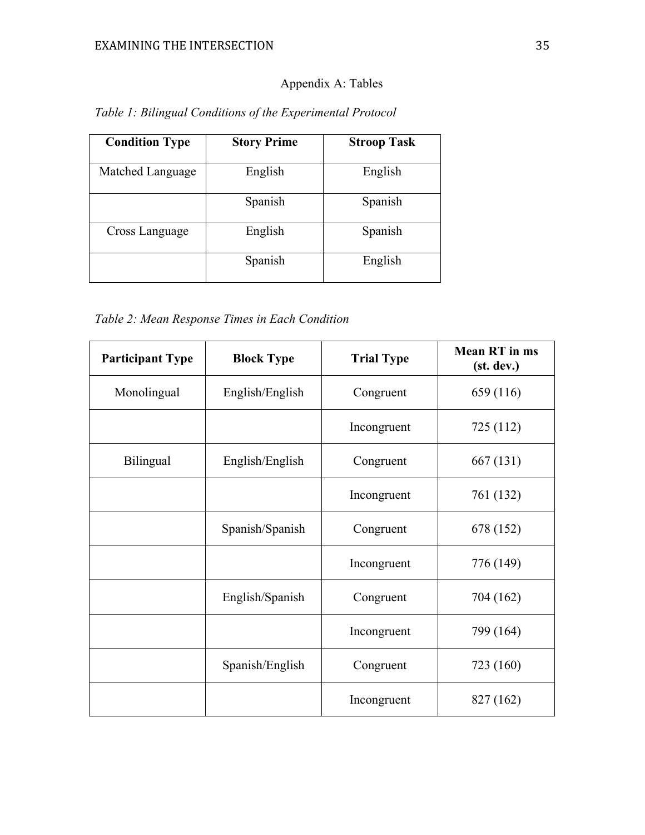# Appendix A: Tables

| <b>Condition Type</b> | <b>Story Prime</b> | <b>Stroop Task</b> |
|-----------------------|--------------------|--------------------|
| Matched Language      | English            | English            |
|                       | Spanish            | Spanish            |
| Cross Language        | English            | Spanish            |
|                       | Spanish            | English            |

*Table 1: Bilingual Conditions of the Experimental Protocol*

*Table 2: Mean Response Times in Each Condition*

| <b>Participant Type</b> | <b>Block Type</b> | <b>Trial Type</b> | <b>Mean RT</b> in ms<br>(st. dev.) |
|-------------------------|-------------------|-------------------|------------------------------------|
| Monolingual             | English/English   | Congruent         | 659 (116)                          |
|                         |                   | Incongruent       | 725 (112)                          |
| Bilingual               | English/English   | Congruent         | 667 (131)                          |
|                         |                   | Incongruent       | 761 (132)                          |
|                         | Spanish/Spanish   | Congruent         | 678 (152)                          |
|                         |                   | Incongruent       | 776 (149)                          |
|                         | English/Spanish   | Congruent         | 704 (162)                          |
|                         |                   | Incongruent       | 799 (164)                          |
|                         | Spanish/English   | Congruent         | 723 (160)                          |
|                         |                   | Incongruent       | 827 (162)                          |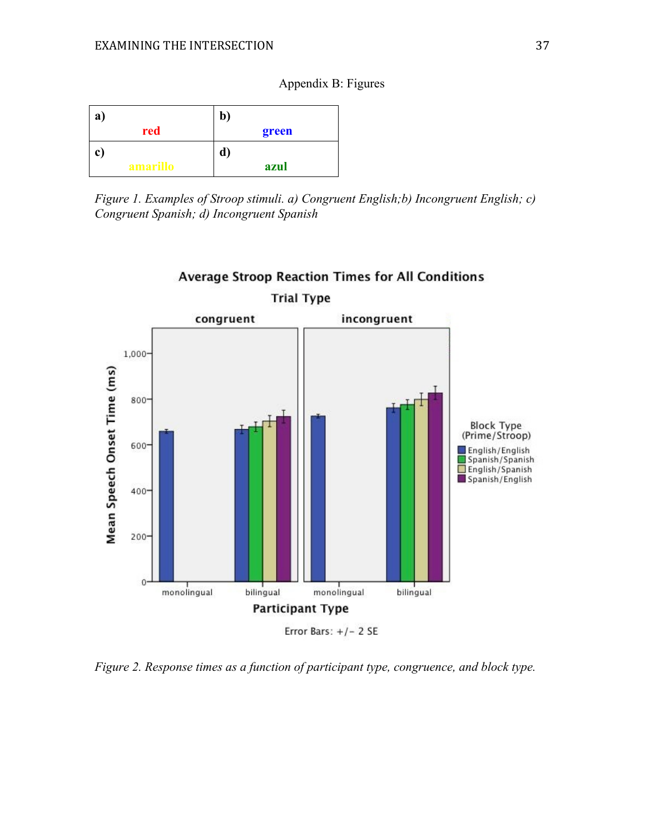# Appendix B: Figures

| a)           |          | b)    |
|--------------|----------|-------|
|              | red      | green |
| $\mathbf{c}$ |          | d)    |
|              | amarillo | azul  |

*Figure 1. Examples of Stroop stimuli. a) Congruent English;b) Incongruent English; c) Congruent Spanish; d) Incongruent Spanish*



**Average Stroop Reaction Times for All Conditions** 

*Figure 2. Response times as a function of participant type, congruence, and block type.*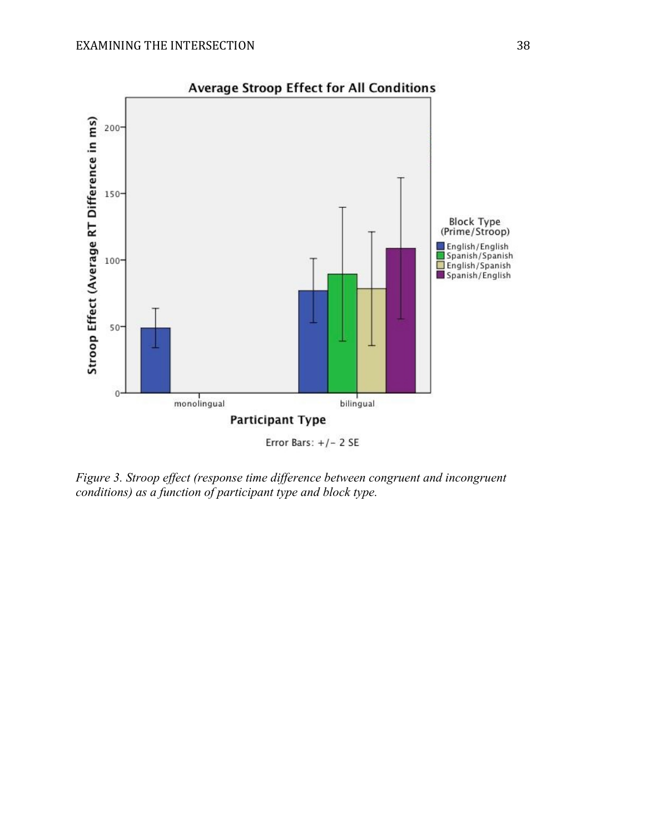

*Figure 3. Stroop effect (response time difference between congruent and incongruent conditions) as a function of participant type and block type.*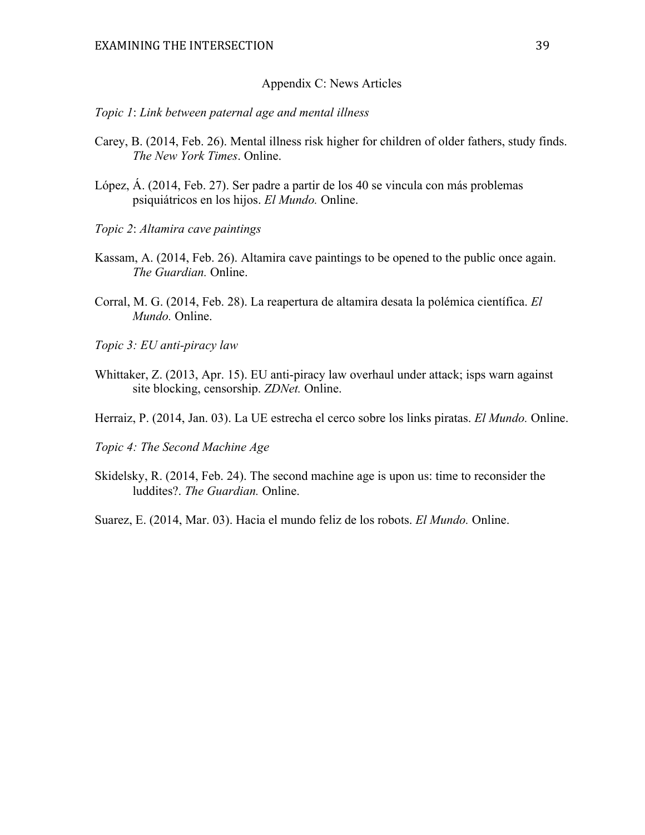#### Appendix C: News Articles

#### *Topic 1*: *Link between paternal age and mental illness*

- Carey, B. (2014, Feb. 26). Mental illness risk higher for children of older fathers, study finds. *The New York Times*. Online.
- López, Á. (2014, Feb. 27). Ser padre a partir de los 40 se vincula con más problemas psiquiátricos en los hijos. *El Mundo.* Online.
- *Topic 2*: *Altamira cave paintings*
- Kassam, A. (2014, Feb. 26). Altamira cave paintings to be opened to the public once again. *The Guardian.* Online.
- Corral, M. G. (2014, Feb. 28). La reapertura de altamira desata la polémica científica. *El Mundo.* Online.
- *Topic 3: EU anti-piracy law*
- Whittaker, Z. (2013, Apr. 15). EU anti-piracy law overhaul under attack; isps warn against site blocking, censorship. *ZDNet.* Online.
- Herraiz, P. (2014, Jan. 03). La UE estrecha el cerco sobre los links piratas. *El Mundo.* Online.
- *Topic 4: The Second Machine Age*
- Skidelsky, R. (2014, Feb. 24). The second machine age is upon us: time to reconsider the luddites?. *The Guardian.* Online.

Suarez, E. (2014, Mar. 03). Hacia el mundo feliz de los robots. *El Mundo.* Online.